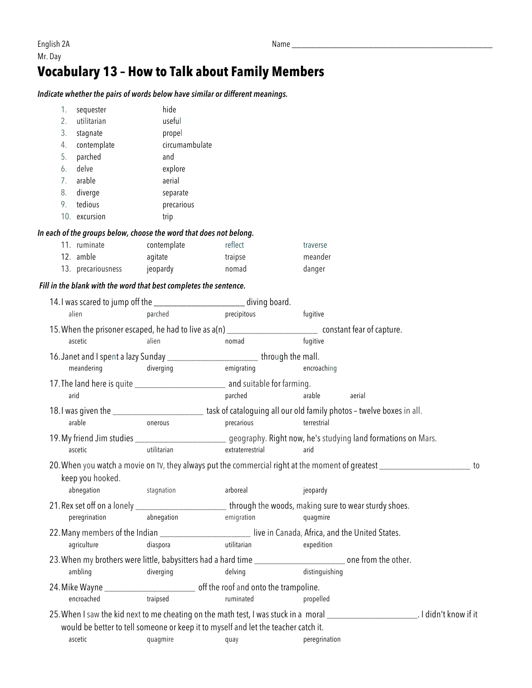## **Vocabulary 13 – How to Talk about Family Members**

*Indicate whether the pairs of words below have similar or different meanings.* 

| 1.<br>sequester                                                                     | hide                           |                         |                                                                                                                                        |    |
|-------------------------------------------------------------------------------------|--------------------------------|-------------------------|----------------------------------------------------------------------------------------------------------------------------------------|----|
| utilitarian<br>2.                                                                   | useful                         |                         |                                                                                                                                        |    |
| 3.<br>stagnate                                                                      | propel                         |                         |                                                                                                                                        |    |
| contemplate<br>4.                                                                   | circumambulate                 |                         |                                                                                                                                        |    |
| parched<br>5.                                                                       | and                            |                         |                                                                                                                                        |    |
| delve<br>6.                                                                         | explore                        |                         |                                                                                                                                        |    |
| arable<br>7.                                                                        | aerial                         |                         |                                                                                                                                        |    |
| 8.<br>diverge                                                                       | separate                       |                         |                                                                                                                                        |    |
| tedious<br>9.                                                                       | precarious                     |                         |                                                                                                                                        |    |
| 10. excursion                                                                       | trip                           |                         |                                                                                                                                        |    |
| In each of the groups below, choose the word that does not belong.                  |                                |                         |                                                                                                                                        |    |
| 11. ruminate                                                                        | contemplate                    | reflect                 | traverse                                                                                                                               |    |
| 12. amble                                                                           | agitate                        | traipse                 | meander                                                                                                                                |    |
| 13. precariousness jeopardy                                                         |                                | nomad                   | danger                                                                                                                                 |    |
| Fill in the blank with the word that best completes the sentence.                   |                                |                         |                                                                                                                                        |    |
| 14.1 was scared to jump off the ______________________ diving board.                |                                |                         |                                                                                                                                        |    |
| alien                                                                               | parched                        | precipitous<br>fugitive |                                                                                                                                        |    |
|                                                                                     |                                |                         | 15. When the prisoner escaped, he had to live as a(n) __________________________ constant fear of capture.                             |    |
| ascetic                                                                             | alien                          | nomad                   | fugitive                                                                                                                               |    |
| 16. Janet and I spent a lazy Sunday __________________________through the mall.     |                                |                         |                                                                                                                                        |    |
| meandering                                                                          | diverging                      | emigrating              | encroaching                                                                                                                            |    |
|                                                                                     |                                |                         |                                                                                                                                        |    |
| arid                                                                                |                                | parched                 | arable<br>aerial                                                                                                                       |    |
|                                                                                     |                                |                         | 18.1 was given the _________________________ task of cataloguing all our old family photos - twelve boxes in all.                      |    |
| arable                                                                              | onerous                        | precarious              | terrestrial                                                                                                                            |    |
|                                                                                     |                                |                         | 19. My friend Jim studies _________________________ geography. Right now, he's studying land formations on Mars.                       |    |
| ascetic                                                                             | utilitarian                    | extraterrestrial        | arid                                                                                                                                   |    |
|                                                                                     |                                |                         |                                                                                                                                        |    |
|                                                                                     |                                |                         | 20. When you watch a movie on TV, they always put the commercial right at the moment of greatest _________                             | to |
| keep you hooked.                                                                    |                                |                         |                                                                                                                                        |    |
|                                                                                     | abnegation stagnation arboreal |                         | jeopardy                                                                                                                               |    |
|                                                                                     |                                |                         | 21. Rex set off on a lonely __________________________through the woods, making sure to wear sturdy shoes.                             |    |
| peregrination                                                                       | abnegation                     | emigration              | quagmire                                                                                                                               |    |
|                                                                                     |                                |                         | 22. Many members of the Indian ______________________________live in Canada, Africa, and the United States.                            |    |
| agriculture                                                                         | diaspora                       | utilitarian             | expedition                                                                                                                             |    |
|                                                                                     |                                |                         | 23. When my brothers were little, babysitters had a hard time __________________________ one from the other.                           |    |
| ambling                                                                             | diverging                      | delving                 | distinguishing                                                                                                                         |    |
| 24. Mike Wayne ______________________________ off the roof and onto the trampoline. |                                |                         |                                                                                                                                        |    |
| encroached                                                                          | traipsed                       | ruminated               | propelled                                                                                                                              |    |
|                                                                                     |                                |                         | 25. When I saw the kid next to me cheating on the math test, I was stuck in a moral _____________________________. I didn't know if it |    |
| would be better to tell someone or keep it to myself and let the teacher catch it.  |                                |                         |                                                                                                                                        |    |
| ascetic                                                                             | quagmire                       | quay                    | peregrination                                                                                                                          |    |